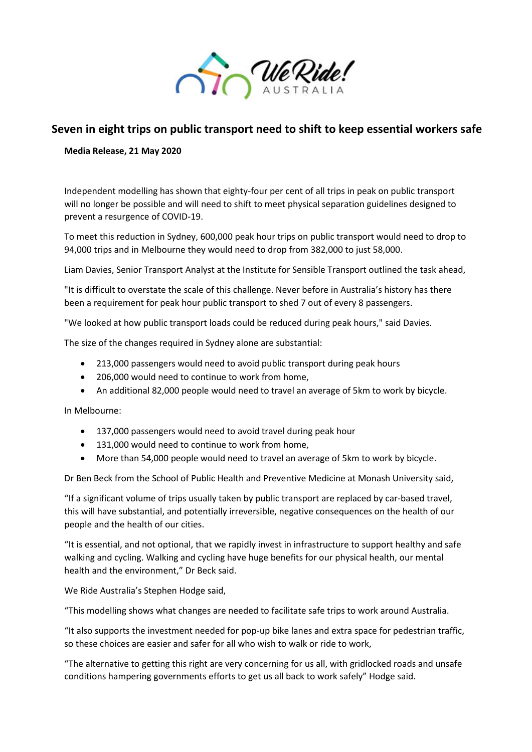

## **Seven in eight trips on public transport need to shift to keep essential workers safe**

**Media Release, 21 May 2020**

Independent modelling has shown that eighty-four per cent of all trips in peak on public transport will no longer be possible and will need to shift to meet physical separation guidelines designed to prevent a resurgence of COVID-19.

To meet this reduction in Sydney, 600,000 peak hour trips on public transport would need to drop to 94,000 trips and in Melbourne they would need to drop from 382,000 to just 58,000.

Liam Davies, Senior Transport Analyst at the Institute for Sensible Transport outlined the task ahead,

"It is difficult to overstate the scale of this challenge. Never before in Australia's history has there been a requirement for peak hour public transport to shed 7 out of every 8 passengers.

"We looked at how public transport loads could be reduced during peak hours," said Davies.

The size of the changes required in Sydney alone are substantial:

- 213,000 passengers would need to avoid public transport during peak hours
- 206,000 would need to continue to work from home,
- An additional 82,000 people would need to travel an average of 5km to work by bicycle.

In Melbourne:

- 137,000 passengers would need to avoid travel during peak hour
- 131,000 would need to continue to work from home,
- More than 54,000 people would need to travel an average of 5km to work by bicycle.

Dr Ben Beck from the School of Public Health and Preventive Medicine at Monash University said,

"If a significant volume of trips usually taken by public transport are replaced by car-based travel, this will have substantial, and potentially irreversible, negative consequences on the health of our people and the health of our cities.

"It is essential, and not optional, that we rapidly invest in infrastructure to support healthy and safe walking and cycling. Walking and cycling have huge benefits for our physical health, our mental health and the environment," Dr Beck said.

We Ride Australia's Stephen Hodge said,

"This modelling shows what changes are needed to facilitate safe trips to work around Australia.

"It also supports the investment needed for pop-up bike lanes and extra space for pedestrian traffic, so these choices are easier and safer for all who wish to walk or ride to work,

"The alternative to getting this right are very concerning for us all, with gridlocked roads and unsafe conditions hampering governments efforts to get us all back to work safely" Hodge said.